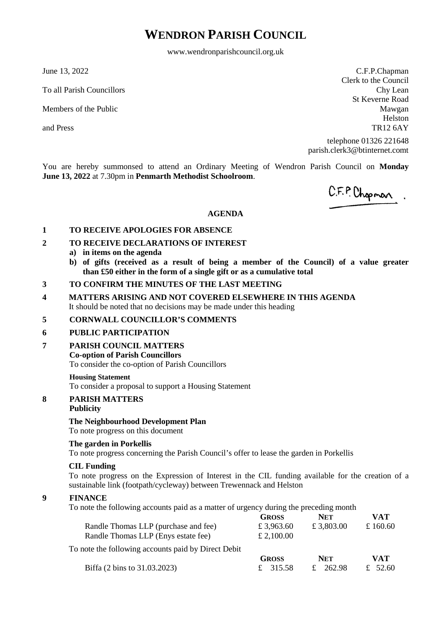# **WENDRON PARISH COUNCIL**

www.wendronparishcouncil.org.uk

June 13, 2022

To all Parish Councillors

Members of the Public

and Press

C.F.P.Chapman Clerk to the Council Chy Lean St Keverne Road Mawgan Helston TR12 6AY

telephone 01326 221648 parish.clerk3@btinternet.comt

You are hereby summonsed to attend an Ordinary Meeting of Wendron Parish Council on **Monday June 13, 2022** at 7.30pm in **Penmarth Methodist Schoolroom**.

C.F.P. Chopman.

#### **AGENDA**

#### **1 TO RECEIVE APOLOGIES FOR ABSENCE**

- **2 TO RECEIVE DECLARATIONS OF INTEREST**
	- **a) in items on the agenda**
	- **b) of gifts (received as a result of being a member of the Council) of a value greater than £50 either in the form of a single gift or as a cumulative total**
- **3 TO CONFIRM THE MINUTES OF THE LAST MEETING**
- **4 MATTERS ARISING AND NOT COVERED ELSEWHERE IN THIS AGENDA** It should be noted that no decisions may be made under this heading

#### **5 CORNWALL COUNCILLOR'S COMMENTS**

#### **6 PUBLIC PARTICIPATION**

**7 PARISH COUNCIL MATTERS**

#### **Co-option of Parish Councillors**

To consider the co-option of Parish Councillors

#### **Housing Statement**

To consider a proposal to support a Housing Statement

# **8 PARISH MATTERS**

## **Publicity**

#### **The Neighbourhood Development Plan**

To note progress on this document

#### **The garden in Porkellis**

To note progress concerning the Parish Council's offer to lease the garden in Porkellis

#### **CIL Funding**

To note progress on the Expression of Interest in the CIL funding available for the creation of a sustainable link (footpath/cycleway) between Trewennack and Helston

#### **9 FINANCE**

To note the following accounts paid as a matter of urgency during the preceding month

|                                                     | <b>GROSS</b> | <b>NET</b> | <b>VAT</b> |
|-----------------------------------------------------|--------------|------------|------------|
| Randle Thomas LLP (purchase and fee)                | £ 3,963.60   | £ 3,803.00 | £ 160.60   |
| Randle Thomas LLP (Enys estate fee)                 | £ 2,100.00   |            |            |
| To note the following accounts paid by Direct Debit |              |            |            |
|                                                     | <b>GROSS</b> | <b>NET</b> | <b>VAT</b> |
| Biffa (2 bins to 31.03.2023)                        | £ 315.58     | 262.98     | 52.60      |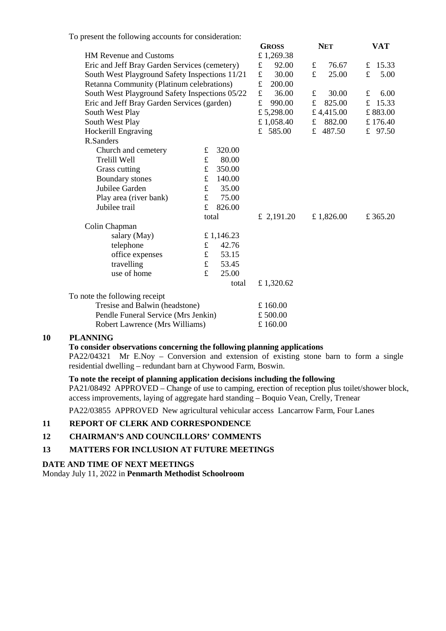To present the following accounts for consideration:

|                                                |                                             |           | <b>GROSS</b> |            | <b>NET</b> |           | VAT |          |
|------------------------------------------------|---------------------------------------------|-----------|--------------|------------|------------|-----------|-----|----------|
| <b>HM Revenue and Customs</b>                  |                                             |           |              | £1,269.38  |            |           |     |          |
| Eric and Jeff Bray Garden Services (cemetery)  |                                             |           | £            | 92.00      | $\pounds$  | 76.67     | £   | 15.33    |
| South West Playground Safety Inspections 11/21 |                                             |           | £            | 30.00      | £          | 25.00     | £   | 5.00     |
| Retanna Community (Platinum celebrations)      |                                             |           |              | 200.00     |            |           |     |          |
| South West Playground Safety Inspections 05/22 |                                             |           | £            | 36.00      | $\pounds$  | 30.00     | £   | 6.00     |
|                                                | Eric and Jeff Bray Garden Services (garden) |           |              | 990.00     | £          | 825.00    | £   | 15.33    |
| South West Play                                |                                             |           |              | £ 5,298.00 |            | £4,415.00 |     | £883.00  |
| South West Play                                |                                             |           |              | £ 1,058.40 | f          | 882.00    |     | £176.40  |
| Hockerill Engraving                            |                                             |           |              | £ 585.00   |            | £ 487.50  |     | £ 97.50  |
| R.Sanders                                      |                                             |           |              |            |            |           |     |          |
| Church and cemetery                            | £                                           | 320.00    |              |            |            |           |     |          |
| Trelill Well                                   | $\mathbf f$                                 | 80.00     |              |            |            |           |     |          |
| Grass cutting                                  | $\mathbf f$                                 | 350.00    |              |            |            |           |     |          |
| <b>Boundary</b> stones                         | $\pounds$                                   | 140.00    |              |            |            |           |     |          |
| Jubilee Garden                                 | $\mathbf f$                                 | 35.00     |              |            |            |           |     |          |
| Play area (river bank)                         | $\mathbf f$                                 | 75.00     |              |            |            |           |     |          |
| Jubilee trail                                  | £                                           | 826.00    |              |            |            |           |     |          |
|                                                | total                                       |           |              | £ 2,191.20 |            | £1,826.00 |     | £ 365.20 |
| Colin Chapman                                  |                                             |           |              |            |            |           |     |          |
| salary (May)                                   |                                             | £1,146.23 |              |            |            |           |     |          |
| telephone                                      | $\mathbf f$                                 | 42.76     |              |            |            |           |     |          |
| office expenses                                | $\mathbf f$                                 | 53.15     |              |            |            |           |     |          |
| travelling                                     | $\mathbf f$                                 | 53.45     |              |            |            |           |     |          |
| use of home                                    | £                                           | 25.00     |              |            |            |           |     |          |
|                                                |                                             | total     |              | £ 1,320.62 |            |           |     |          |
| To note the following receipt                  |                                             |           |              |            |            |           |     |          |
| Tresise and Balwin (headstone)                 |                                             |           |              | £160.00    |            |           |     |          |
| Pendle Funeral Service (Mrs Jenkin)            |                                             |           |              | £500.00    |            |           |     |          |
|                                                |                                             |           |              |            |            |           |     |          |

Robert Lawrence (Mrs Williams) £ 160.00

#### **10 PLANNING**

**To consider observations concerning the following planning applications** 

PA22/04321 Mr E.Noy – Conversion and extension of existing stone barn to form a single residential dwelling – redundant barn at Chywood Farm, Boswin.

#### **To note the receipt of planning application decisions including the following**

PA21/08492 APPROVED – Change of use to camping, erection of reception plus toilet/shower block, access improvements, laying of aggregate hard standing – Boquio Vean, Crelly, Trenear

PA22/03855 APPROVED New agricultural vehicular access Lancarrow Farm, Four Lanes

#### **11 REPORT OF CLERK AND CORRESPONDENCE**

- **12 CHAIRMAN'S AND COUNCILLORS' COMMENTS**
- **13 MATTERS FOR INCLUSION AT FUTURE MEETINGS**

#### **DATE AND TIME OF NEXT MEETINGS**

Monday July 11, 2022 in **Penmarth Methodist Schoolroom**